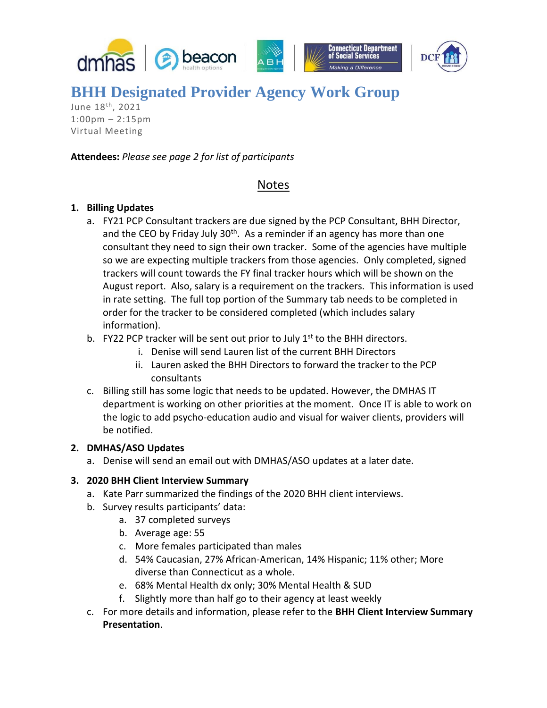



# **BHH Designated Provider Agency Work Group**

June 18<sup>th</sup>, 2021 1:00pm – 2:15pm Virtual Meeting

#### **Attendees:** *Please see page 2 for list of participants*

### Notes

#### **1. Billing Updates**

- a. FY21 PCP Consultant trackers are due signed by the PCP Consultant, BHH Director, and the CEO by Friday July 30<sup>th</sup>. As a reminder if an agency has more than one consultant they need to sign their own tracker. Some of the agencies have multiple so we are expecting multiple trackers from those agencies. Only completed, signed trackers will count towards the FY final tracker hours which will be shown on the August report. Also, salary is a requirement on the trackers. This information is used in rate setting. The full top portion of the Summary tab needs to be completed in order for the tracker to be considered completed (which includes salary information).
- b. FY22 PCP tracker will be sent out prior to July  $1<sup>st</sup>$  to the BHH directors.
	- i. Denise will send Lauren list of the current BHH Directors
	- ii. Lauren asked the BHH Directors to forward the tracker to the PCP consultants
- c. Billing still has some logic that needs to be updated. However, the DMHAS IT department is working on other priorities at the moment. Once IT is able to work on the logic to add psycho-education audio and visual for waiver clients, providers will be notified.

#### **2. DMHAS/ASO Updates**

a. Denise will send an email out with DMHAS/ASO updates at a later date.

#### **3. 2020 BHH Client Interview Summary**

- a. Kate Parr summarized the findings of the 2020 BHH client interviews.
- b. Survey results participants' data:
	- a. 37 completed surveys
	- b. Average age: 55
	- c. More females participated than males
	- d. 54% Caucasian, 27% African-American, 14% Hispanic; 11% other; More diverse than Connecticut as a whole.
	- e. 68% Mental Health dx only; 30% Mental Health & SUD
	- f. Slightly more than half go to their agency at least weekly
- c. For more details and information, please refer to the **BHH Client Interview Summary Presentation**.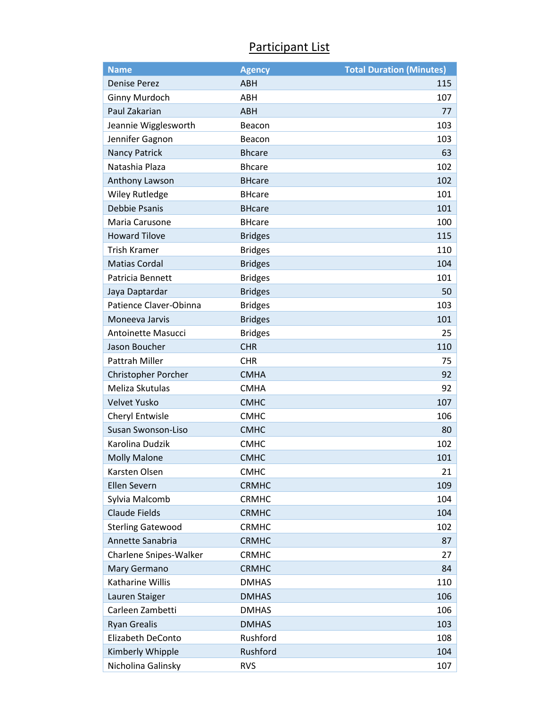## Participant List

| <b>Name</b>              | <b>Agency</b>  | <b>Total Duration (Minutes)</b> |
|--------------------------|----------------|---------------------------------|
| <b>Denise Perez</b>      | <b>ABH</b>     | 115                             |
| <b>Ginny Murdoch</b>     | ABH            | 107                             |
| Paul Zakarian            | <b>ABH</b>     | 77                              |
| Jeannie Wigglesworth     | Beacon         | 103                             |
| Jennifer Gagnon          | Beacon         | 103                             |
| <b>Nancy Patrick</b>     | <b>Bhcare</b>  | 63                              |
| Natashia Plaza           | <b>Bhcare</b>  | 102                             |
| Anthony Lawson           | <b>BHcare</b>  | 102                             |
| <b>Wiley Rutledge</b>    | <b>BHcare</b>  | 101                             |
| <b>Debbie Psanis</b>     | <b>BHcare</b>  | 101                             |
| Maria Carusone           | <b>BHcare</b>  | 100                             |
| <b>Howard Tilove</b>     | <b>Bridges</b> | 115                             |
| <b>Trish Kramer</b>      | <b>Bridges</b> | 110                             |
| <b>Matias Cordal</b>     | <b>Bridges</b> | 104                             |
| Patricia Bennett         | <b>Bridges</b> | 101                             |
| Jaya Daptardar           | <b>Bridges</b> | 50                              |
| Patience Claver-Obinna   | <b>Bridges</b> | 103                             |
| Moneeva Jarvis           | <b>Bridges</b> | 101                             |
| Antoinette Masucci       | <b>Bridges</b> | 25                              |
| Jason Boucher            | <b>CHR</b>     | 110                             |
| Pattrah Miller           | <b>CHR</b>     | 75                              |
| Christopher Porcher      | <b>CMHA</b>    | 92                              |
| Meliza Skutulas          | <b>CMHA</b>    | 92                              |
| <b>Velvet Yusko</b>      | <b>CMHC</b>    | 107                             |
| Cheryl Entwisle          | <b>CMHC</b>    | 106                             |
| Susan Swonson-Liso       | <b>CMHC</b>    | 80                              |
| Karolina Dudzik          | <b>CMHC</b>    | 102                             |
| <b>Molly Malone</b>      | <b>CMHC</b>    | 101                             |
| Karsten Olsen            | <b>CMHC</b>    | 21                              |
| <b>Ellen Severn</b>      | <b>CRMHC</b>   | 109                             |
| Sylvia Malcomb           | <b>CRMHC</b>   | 104                             |
| <b>Claude Fields</b>     | <b>CRMHC</b>   | 104                             |
| <b>Sterling Gatewood</b> | <b>CRMHC</b>   | 102                             |
| Annette Sanabria         | <b>CRMHC</b>   | 87                              |
| Charlene Snipes-Walker   | <b>CRMHC</b>   | 27                              |
| Mary Germano             | <b>CRMHC</b>   | 84                              |
| Katharine Willis         | <b>DMHAS</b>   | 110                             |
| Lauren Staiger           | <b>DMHAS</b>   | 106                             |
| Carleen Zambetti         | <b>DMHAS</b>   | 106                             |
| <b>Ryan Grealis</b>      | <b>DMHAS</b>   | 103                             |
| Elizabeth DeConto        | Rushford       | 108                             |
| Kimberly Whipple         | Rushford       | 104                             |
| Nicholina Galinsky       | <b>RVS</b>     | 107                             |